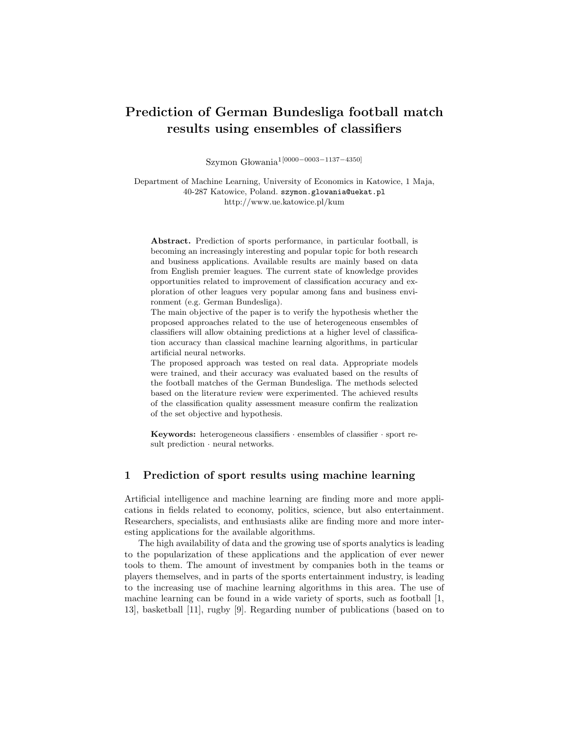# Prediction of German Bundesliga football match results using ensembles of classifiers

Szymon Głowania<sup>1[0000</sup>−0003−1137−4350]

Department of Machine Learning, University of Economics in Katowice, 1 Maja, 40-287 Katowice, Poland. szymon.glowania@uekat.pl http://www.ue.katowice.pl/kum

Abstract. Prediction of sports performance, in particular football, is becoming an increasingly interesting and popular topic for both research and business applications. Available results are mainly based on data from English premier leagues. The current state of knowledge provides opportunities related to improvement of classification accuracy and exploration of other leagues very popular among fans and business environment (e.g. German Bundesliga).

The main objective of the paper is to verify the hypothesis whether the proposed approaches related to the use of heterogeneous ensembles of classifiers will allow obtaining predictions at a higher level of classification accuracy than classical machine learning algorithms, in particular artificial neural networks.

The proposed approach was tested on real data. Appropriate models were trained, and their accuracy was evaluated based on the results of the football matches of the German Bundesliga. The methods selected based on the literature review were experimented. The achieved results of the classification quality assessment measure confirm the realization of the set objective and hypothesis.

**Keywords:** heterogeneous classifiers  $\cdot$  ensembles of classifier  $\cdot$  sport result prediction · neural networks.

### 1 Prediction of sport results using machine learning

Artificial intelligence and machine learning are finding more and more applications in fields related to economy, politics, science, but also entertainment. Researchers, specialists, and enthusiasts alike are finding more and more interesting applications for the available algorithms.

The high availability of data and the growing use of sports analytics is leading to the popularization of these applications and the application of ever newer tools to them. The amount of investment by companies both in the teams or players themselves, and in parts of the sports entertainment industry, is leading to the increasing use of machine learning algorithms in this area. The use of machine learning can be found in a wide variety of sports, such as football [1, 13], basketball [11], rugby [9]. Regarding number of publications (based on to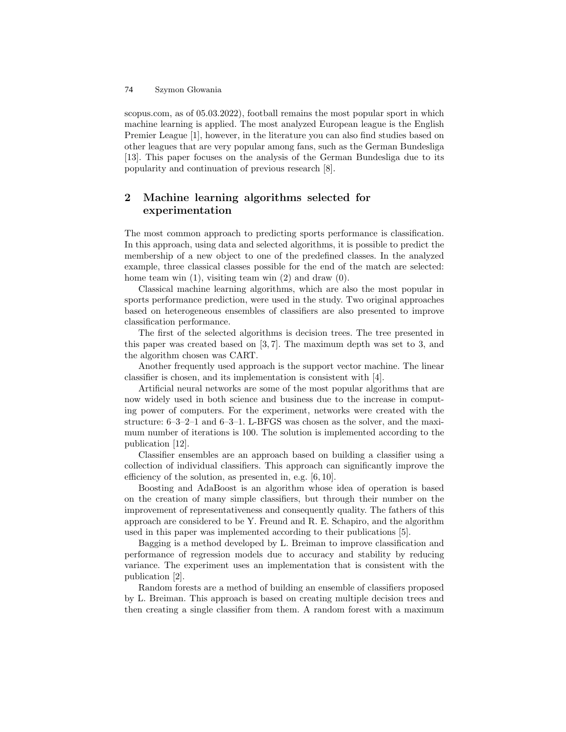scopus.com, as of 05.03.2022), football remains the most popular sport in which machine learning is applied. The most analyzed European league is the English Premier League [1], however, in the literature you can also find studies based on other leagues that are very popular among fans, such as the German Bundesliga [13]. This paper focuses on the analysis of the German Bundesliga due to its popularity and continuation of previous research [8].

## 2 Machine learning algorithms selected for experimentation

The most common approach to predicting sports performance is classification. In this approach, using data and selected algorithms, it is possible to predict the membership of a new object to one of the predefined classes. In the analyzed example, three classical classes possible for the end of the match are selected: home team win  $(1)$ , visiting team win  $(2)$  and draw  $(0)$ .

Classical machine learning algorithms, which are also the most popular in sports performance prediction, were used in the study. Two original approaches based on heterogeneous ensembles of classifiers are also presented to improve classification performance.

The first of the selected algorithms is decision trees. The tree presented in this paper was created based on [3, 7]. The maximum depth was set to 3, and the algorithm chosen was CART.

Another frequently used approach is the support vector machine. The linear classifier is chosen, and its implementation is consistent with [4].

Artificial neural networks are some of the most popular algorithms that are now widely used in both science and business due to the increase in computing power of computers. For the experiment, networks were created with the structure: 6–3–2–1 and 6–3–1. L-BFGS was chosen as the solver, and the maximum number of iterations is 100. The solution is implemented according to the publication [12].

Classifier ensembles are an approach based on building a classifier using a collection of individual classifiers. This approach can significantly improve the efficiency of the solution, as presented in, e.g. [6, 10].

Boosting and AdaBoost is an algorithm whose idea of operation is based on the creation of many simple classifiers, but through their number on the improvement of representativeness and consequently quality. The fathers of this approach are considered to be Y. Freund and R. E. Schapiro, and the algorithm used in this paper was implemented according to their publications [5].

Bagging is a method developed by L. Breiman to improve classification and performance of regression models due to accuracy and stability by reducing variance. The experiment uses an implementation that is consistent with the publication [2].

Random forests are a method of building an ensemble of classifiers proposed by L. Breiman. This approach is based on creating multiple decision trees and then creating a single classifier from them. A random forest with a maximum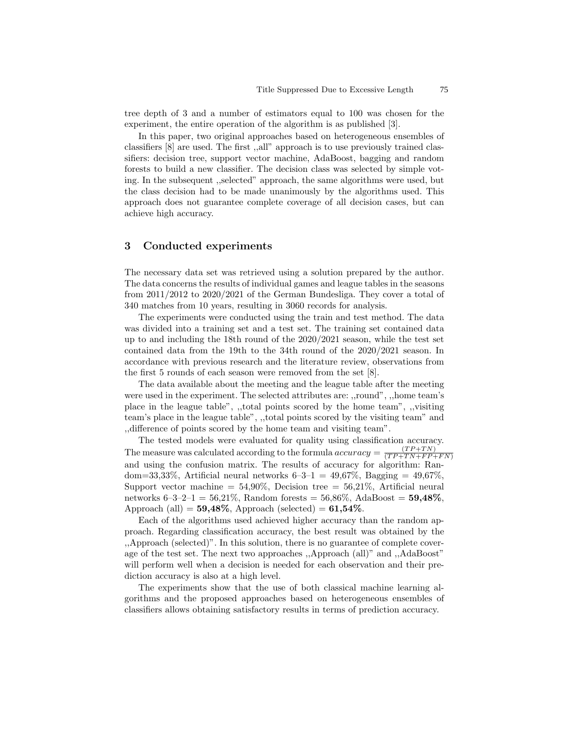tree depth of 3 and a number of estimators equal to 100 was chosen for the experiment, the entire operation of the algorithm is as published [3].

In this paper, two original approaches based on heterogeneous ensembles of classifiers [8] are used. The first ,,all" approach is to use previously trained classifiers: decision tree, support vector machine, AdaBoost, bagging and random forests to build a new classifier. The decision class was selected by simple voting. In the subsequent ,,selected" approach, the same algorithms were used, but the class decision had to be made unanimously by the algorithms used. This approach does not guarantee complete coverage of all decision cases, but can achieve high accuracy.

#### 3 Conducted experiments

The necessary data set was retrieved using a solution prepared by the author. The data concerns the results of individual games and league tables in the seasons from 2011/2012 to 2020/2021 of the German Bundesliga. They cover a total of 340 matches from 10 years, resulting in 3060 records for analysis.

The experiments were conducted using the train and test method. The data was divided into a training set and a test set. The training set contained data up to and including the 18th round of the 2020/2021 season, while the test set contained data from the 19th to the 34th round of the 2020/2021 season. In accordance with previous research and the literature review, observations from the first 5 rounds of each season were removed from the set [8].

The data available about the meeting and the league table after the meeting were used in the experiment. The selected attributes are: ,,round", ,,home team's place in the league table", ,,total points scored by the home team", ,,visiting team's place in the league table", ,,total points scored by the visiting team" and ,,difference of points scored by the home team and visiting team".

The tested models were evaluated for quality using classification accuracy. The measure was calculated according to the formula accuracy = (T P +T N)  $(T P+T N+F P+F N)$ and using the confusion matrix. The results of accuracy for algorithm: Random=33,33%, Artificial neural networks  $6-3-1 = 49.67\%$ , Bagging =  $49.67\%$ . Support vector machine =  $54,90\%$ , Decision tree =  $56,21\%$ , Artificial neural networks  $6-3-2-1 = 56,21\%$ , Random forests =  $56,86\%$ , AdaBoost =  $59,48\%$ . Approach (all) =  $59,48\%$ , Approach (selected) =  $61,54\%$ .

Each of the algorithms used achieved higher accuracy than the random approach. Regarding classification accuracy, the best result was obtained by the ,,Approach (selected)". In this solution, there is no guarantee of complete coverage of the test set. The next two approaches ,,Approach (all)" and ,,AdaBoost" will perform well when a decision is needed for each observation and their prediction accuracy is also at a high level.

The experiments show that the use of both classical machine learning algorithms and the proposed approaches based on heterogeneous ensembles of classifiers allows obtaining satisfactory results in terms of prediction accuracy.